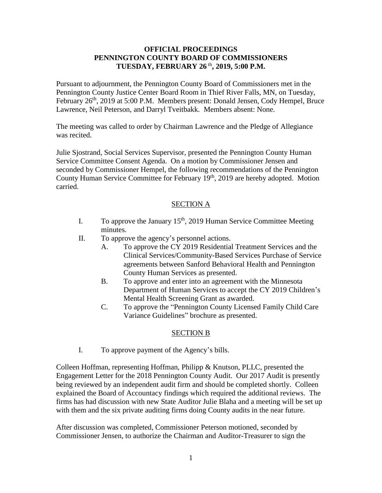## **OFFICIAL PROCEEDINGS PENNINGTON COUNTY BOARD OF COMMISSIONERS TUESDAY, FEBRUARY 26** th **, 2019, 5:00 P.M.**

Pursuant to adjournment, the Pennington County Board of Commissioners met in the Pennington County Justice Center Board Room in Thief River Falls, MN, on Tuesday, February 26<sup>th</sup>, 2019 at 5:00 P.M. Members present: Donald Jensen, Cody Hempel, Bruce Lawrence, Neil Peterson, and Darryl Tveitbakk. Members absent: None.

The meeting was called to order by Chairman Lawrence and the Pledge of Allegiance was recited.

Julie Sjostrand, Social Services Supervisor, presented the Pennington County Human Service Committee Consent Agenda. On a motion by Commissioner Jensen and seconded by Commissioner Hempel, the following recommendations of the Pennington County Human Service Committee for February 19<sup>th</sup>, 2019 are hereby adopted. Motion carried.

## SECTION A

- I. To approve the January  $15<sup>th</sup>$ , 2019 Human Service Committee Meeting minutes.
- II. To approve the agency's personnel actions.
	- A. To approve the CY 2019 Residential Treatment Services and the Clinical Services/Community-Based Services Purchase of Service agreements between Sanford Behavioral Health and Pennington County Human Services as presented.
	- B. To approve and enter into an agreement with the Minnesota Department of Human Services to accept the CY 2019 Children's Mental Health Screening Grant as awarded.
	- C. To approve the "Pennington County Licensed Family Child Care Variance Guidelines" brochure as presented.

## SECTION B

I. To approve payment of the Agency's bills.

Colleen Hoffman, representing Hoffman, Philipp & Knutson, PLLC, presented the Engagement Letter for the 2018 Pennington County Audit. Our 2017 Audit is presently being reviewed by an independent audit firm and should be completed shortly. Colleen explained the Board of Accountacy findings which required the additional reviews. The firms has had discussion with new State Auditor Julie Blaha and a meeting will be set up with them and the six private auditing firms doing County audits in the near future.

After discussion was completed, Commissioner Peterson motioned, seconded by Commissioner Jensen, to authorize the Chairman and Auditor-Treasurer to sign the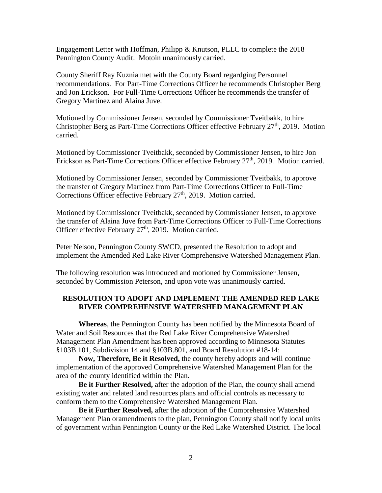Engagement Letter with Hoffman, Philipp & Knutson, PLLC to complete the 2018 Pennington County Audit. Motoin unanimously carried.

County Sheriff Ray Kuznia met with the County Board regardging Personnel recommendations. For Part-Time Corrections Officer he recommends Christopher Berg and Jon Erickson. For Full-Time Corrections Officer he recommends the transfer of Gregory Martinez and Alaina Juve.

Motioned by Commissioner Jensen, seconded by Commissioner Tveitbakk, to hire Christopher Berg as Part-Time Corrections Officer effective February  $27<sup>th</sup>$ , 2019. Motion carried.

Motioned by Commissioner Tveitbakk, seconded by Commissioner Jensen, to hire Jon Erickson as Part-Time Corrections Officer effective February 27<sup>th</sup>, 2019. Motion carried.

Motioned by Commissioner Jensen, seconded by Commissioner Tveitbakk, to approve the transfer of Gregory Martinez from Part-Time Corrections Officer to Full-Time Corrections Officer effective February 27<sup>th</sup>, 2019. Motion carried.

Motioned by Commissioner Tveitbakk, seconded by Commissioner Jensen, to approve the transfer of Alaina Juve from Part-Time Corrections Officer to Full-Time Corrections Officer effective February 27<sup>th</sup>, 2019. Motion carried.

Peter Nelson, Pennington County SWCD, presented the Resolution to adopt and implement the Amended Red Lake River Comprehensive Watershed Management Plan.

The following resolution was introduced and motioned by Commissioner Jensen, seconded by Commission Peterson, and upon vote was unanimously carried.

## **RESOLUTION TO ADOPT AND IMPLEMENT THE AMENDED RED LAKE RIVER COMPREHENSIVE WATERSHED MANAGEMENT PLAN**

**Whereas**, the Pennington County has been notified by the Minnesota Board of Water and Soil Resources that the Red Lake River Comprehensive Watershed Management Plan Amendment has been approved according to Minnesota Statutes §103B.101, Subdivision 14 and §103B.801, and Board Resolution #18-14:

**Now, Therefore, Be it Resolved,** the county hereby adopts and will continue implementation of the approved Comprehensive Watershed Management Plan for the area of the county identified within the Plan*.*

**Be it Further Resolved,** after the adoption of the Plan, the county shall amend existing water and related land resources plans and official controls as necessary to conform them to the Comprehensive Watershed Management Plan.

**Be it Further Resolved,** after the adoption of the Comprehensive Watershed Management Plan oramendments to the plan, Pennington County shall notify local units of government within Pennington County or the Red Lake Watershed District. The local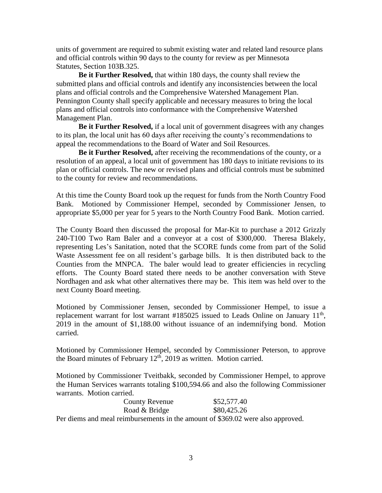units of government are required to submit existing water and related land resource plans and official controls within 90 days to the county for review as per Minnesota Statutes, Section 103B.325.

**Be it Further Resolved,** that within 180 days, the county shall review the submitted plans and official controls and identify any inconsistencies between the local plans and official controls and the Comprehensive Watershed Management Plan. Pennington County shall specify applicable and necessary measures to bring the local plans and official controls into conformance with the Comprehensive Watershed Management Plan.

**Be it Further Resolved,** if a local unit of government disagrees with any changes to its plan, the local unit has 60 days after receiving the county's recommendations to appeal the recommendations to the Board of Water and Soil Resources.

**Be it Further Resolved,** after receiving the recommendations of the county, or a resolution of an appeal, a local unit of government has 180 days to initiate revisions to its plan or official controls. The new or revised plans and official controls must be submitted to the county for review and recommendations.

At this time the County Board took up the request for funds from the North Country Food Bank. Motioned by Commissioner Hempel, seconded by Commissioner Jensen, to appropriate \$5,000 per year for 5 years to the North Country Food Bank. Motion carried.

The County Board then discussed the proposal for Mar-Kit to purchase a 2012 Grizzly 240-T100 Two Ram Baler and a conveyor at a cost of \$300,000. Theresa Blakely, representing Les's Sanitation, noted that the SCORE funds come from part of the Solid Waste Assessment fee on all resident's garbage bills. It is then distributed back to the Counties from the MNPCA. The baler would lead to greater efficiencies in recycling efforts. The County Board stated there needs to be another conversation with Steve Nordhagen and ask what other alternatives there may be. This item was held over to the next County Board meeting.

Motioned by Commissioner Jensen, seconded by Commissioner Hempel, to issue a replacement warrant for lost warrant  $#185025$  issued to Leads Online on January  $11<sup>th</sup>$ , 2019 in the amount of \$1,188.00 without issuance of an indemnifying bond. Motion carried.

Motioned by Commissioner Hempel, seconded by Commissioner Peterson, to approve the Board minutes of February  $12<sup>th</sup>$ , 2019 as written. Motion carried.

Motioned by Commissioner Tveitbakk, seconded by Commissioner Hempel, to approve the Human Services warrants totaling \$100,594.66 and also the following Commissioner warrants. Motion carried.

| <b>County Revenue</b>                                                           | \$52,577.40 |
|---------------------------------------------------------------------------------|-------------|
| Road & Bridge                                                                   | \$80,425.26 |
| Per diems and meal reimbursements in the amount of \$369.02 were also approved. |             |